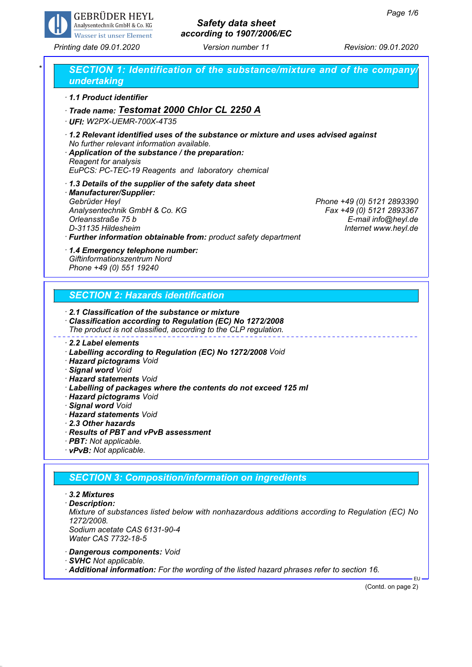

# *Safety data sheet according to 1907/2006/EC*

*Printing date 09.01.2020 Version number 11 Revision: 09.01.2020*

| 1.1 Product identifier                                                                                                                                                                                                                                          |                                                        |  |
|-----------------------------------------------------------------------------------------------------------------------------------------------------------------------------------------------------------------------------------------------------------------|--------------------------------------------------------|--|
| Trade name: Testomat 2000 Chlor CL 2250 A                                                                                                                                                                                                                       |                                                        |  |
| · UFI: W2PX-UEMR-700X-4T35                                                                                                                                                                                                                                      |                                                        |  |
| 1.2 Relevant identified uses of the substance or mixture and uses advised against<br>No further relevant information available.<br>Application of the substance / the preparation:<br>Reagent for analysis<br>EuPCS: PC-TEC-19 Reagents and laboratory chemical |                                                        |  |
| 1.3 Details of the supplier of the safety data sheet                                                                                                                                                                                                            |                                                        |  |
| · Manufacturer/Supplier:                                                                                                                                                                                                                                        |                                                        |  |
| Gebrüder Heyl                                                                                                                                                                                                                                                   | Phone +49 (0) 5121 2893390<br>Fax +49 (0) 5121 2893367 |  |
| Analysentechnik GmbH & Co. KG<br>Orleansstraße 75 b                                                                                                                                                                                                             | E-mail info@heyl.de                                    |  |
| D-31135 Hildesheim                                                                                                                                                                                                                                              | Internet www.heyl.de                                   |  |
| · Further information obtainable from: product safety department                                                                                                                                                                                                |                                                        |  |
| Phone +49 (0) 551 19240                                                                                                                                                                                                                                         |                                                        |  |
| <b>SECTION 2: Hazards identification</b>                                                                                                                                                                                                                        |                                                        |  |
| 2.1 Classification of the substance or mixture<br>· Classification according to Regulation (EC) No 1272/2008<br>The product is not classified, according to the CLP regulation.                                                                                 |                                                        |  |
| $\cdot$ 2.2 Label elements                                                                                                                                                                                                                                      |                                                        |  |
| · Labelling according to Regulation (EC) No 1272/2008 Void                                                                                                                                                                                                      |                                                        |  |
|                                                                                                                                                                                                                                                                 |                                                        |  |
| · Hazard pictograms Void                                                                                                                                                                                                                                        |                                                        |  |
| · Signal word Void                                                                                                                                                                                                                                              |                                                        |  |
| · <b>Hazard statements</b> Void                                                                                                                                                                                                                                 |                                                        |  |
| · Labelling of packages where the contents do not exceed 125 ml<br>· Hazard pictograms Void                                                                                                                                                                     |                                                        |  |
| · Signal word Void<br>· Hazard statements Void                                                                                                                                                                                                                  |                                                        |  |

*· vPvB: Not applicable.*

### *SECTION 3: Composition/information on ingredients*

- *· 3.2 Mixtures*
- *· Description:*

*Mixture of substances listed below with nonhazardous additions according to Regulation (EC) No 1272/2008. Sodium acetate CAS 6131-90-4*

- *Water CAS 7732-18-5*
- *· Dangerous components: Void*
- *· SVHC Not applicable.*
- *· Additional information: For the wording of the listed hazard phrases refer to section 16.*

(Contd. on page 2)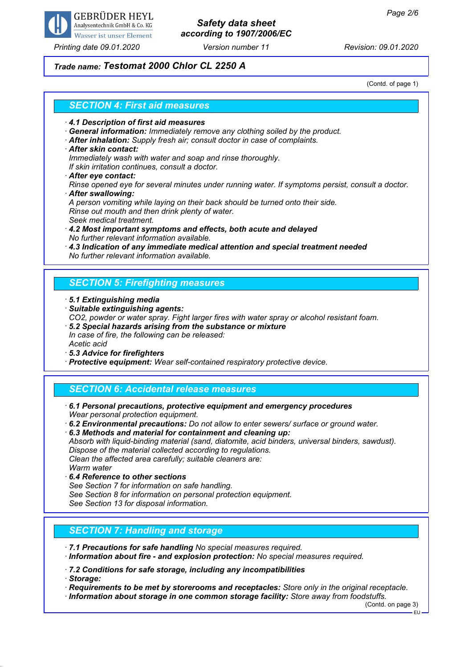

*Printing date 09.01.2020 Version number 11 Revision: 09.01.2020*

# *Safety data sheet according to 1907/2006/EC*

## *Trade name: Testomat 2000 Chlor CL 2250 A*

(Contd. of page 1)

### *SECTION 4: First aid measures*

- *· 4.1 Description of first aid measures*
- *· General information: Immediately remove any clothing soiled by the product.*
- *· After inhalation: Supply fresh air; consult doctor in case of complaints.*
- *· After skin contact:*

*Immediately wash with water and soap and rinse thoroughly.*

*If skin irritation continues, consult a doctor.*

*· After eye contact:*

*Rinse opened eye for several minutes under running water. If symptoms persist, consult a doctor. · After swallowing:*

*A person vomiting while laying on their back should be turned onto their side. Rinse out mouth and then drink plenty of water.*

- *Seek medical treatment.*
- *· 4.2 Most important symptoms and effects, both acute and delayed No further relevant information available.*
- *· 4.3 Indication of any immediate medical attention and special treatment needed No further relevant information available.*

### *SECTION 5: Firefighting measures*

- *· 5.1 Extinguishing media*
- *· Suitable extinguishing agents:*
- *CO2, powder or water spray. Fight larger fires with water spray or alcohol resistant foam.*
- *· 5.2 Special hazards arising from the substance or mixture In case of fire, the following can be released: Acetic acid*
- *· 5.3 Advice for firefighters*
- *· Protective equipment: Wear self-contained respiratory protective device.*

### *SECTION 6: Accidental release measures*

- *· 6.1 Personal precautions, protective equipment and emergency procedures Wear personal protection equipment.*
- *· 6.2 Environmental precautions: Do not allow to enter sewers/ surface or ground water.*

*· 6.3 Methods and material for containment and cleaning up:*

*Absorb with liquid-binding material (sand, diatomite, acid binders, universal binders, sawdust). Dispose of the material collected according to regulations. Clean the affected area carefully; suitable cleaners are:*

*Warm water*

- *· 6.4 Reference to other sections*
- *See Section 7 for information on safe handling.*
- *See Section 8 for information on personal protection equipment.*

*See Section 13 for disposal information.*

### *SECTION 7: Handling and storage*

- *· 7.1 Precautions for safe handling No special measures required.*
- *· Information about fire and explosion protection: No special measures required.*
- *· 7.2 Conditions for safe storage, including any incompatibilities*

*· Storage:*

- *· Requirements to be met by storerooms and receptacles: Store only in the original receptacle.*
- *· Information about storage in one common storage facility: Store away from foodstuffs.*

(Contd. on page 3)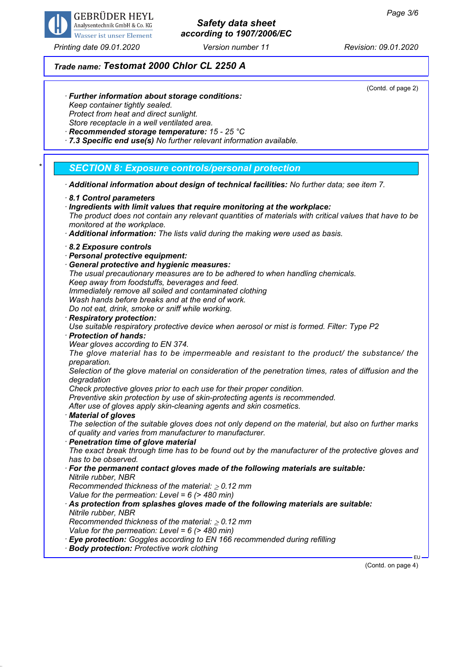

*Printing date 09.01.2020 Version number 11 Revision: 09.01.2020*

# *Safety data sheet according to 1907/2006/EC*

*Trade name: Testomat 2000 Chlor CL 2250 A*

(Contd. of page 2)

- *· Further information about storage conditions: Keep container tightly sealed. Protect from heat and direct sunlight. Store receptacle in a well ventilated area.*
- *· Recommended storage temperature: 15 25 °C*
- *· 7.3 Specific end use(s) No further relevant information available.*

### *\* SECTION 8: Exposure controls/personal protection*

- *· Additional information about design of technical facilities: No further data; see item 7.*
- *· 8.1 Control parameters*
- *· Ingredients with limit values that require monitoring at the workplace: The product does not contain any relevant quantities of materials with critical values that have to be monitored at the workplace.*
- *· Additional information: The lists valid during the making were used as basis.*
- *· 8.2 Exposure controls*
- *· Personal protective equipment:*
- *· General protective and hygienic measures:*
- *The usual precautionary measures are to be adhered to when handling chemicals.*
- *Keep away from foodstuffs, beverages and feed.*
- *Immediately remove all soiled and contaminated clothing*

*Wash hands before breaks and at the end of work.*

- *Do not eat, drink, smoke or sniff while working.*
- *· Respiratory protection: Use suitable respiratory protective device when aerosol or mist is formed. Filter: Type P2*
- *· Protection of hands:*
- *Wear gloves according to EN 374.*

*The glove material has to be impermeable and resistant to the product/ the substance/ the preparation.*

*Selection of the glove material on consideration of the penetration times, rates of diffusion and the degradation*

*Check protective gloves prior to each use for their proper condition.*

*Preventive skin protection by use of skin-protecting agents is recommended.*

*After use of gloves apply skin-cleaning agents and skin cosmetics.*

*· Material of gloves*

*The selection of the suitable gloves does not only depend on the material, but also on further marks of quality and varies from manufacturer to manufacturer.*

*· Penetration time of glove material*

*The exact break through time has to be found out by the manufacturer of the protective gloves and has to be observed.*

*· For the permanent contact gloves made of the following materials are suitable: Nitrile rubber, NBR*

*Recommended thickness of the material:* ≥ *0.12 mm*

*Value for the permeation: Level = 6 (> 480 min)*

*· As protection from splashes gloves made of the following materials are suitable: Nitrile rubber, NBR*

*Recommended thickness of the material:* ≥ *0.12 mm*

*Value for the permeation: Level = 6 (> 480 min)*

*· Eye protection: Goggles according to EN 166 recommended during refilling*

*· Body protection: Protective work clothing*

(Contd. on page 4)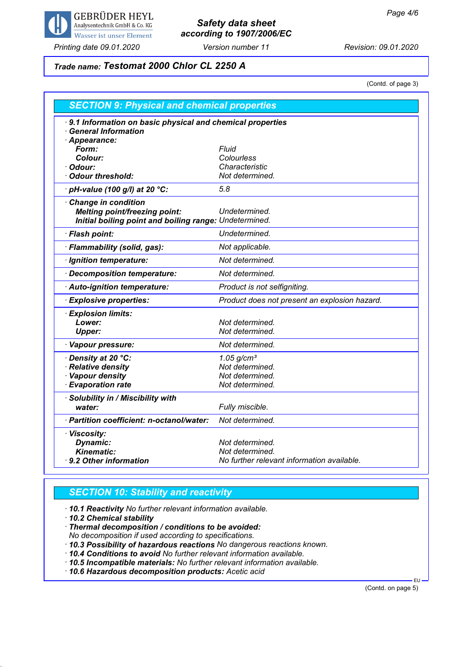

# *Safety data sheet according to 1907/2006/EC*

*Printing date 09.01.2020 Version number 11 Revision: 09.01.2020*

# *Trade name: Testomat 2000 Chlor CL 2250 A*

(Contd. of page 3)

| <b>SECTION 9: Physical and chemical properties</b>                                                     |                                               |  |
|--------------------------------------------------------------------------------------------------------|-----------------------------------------------|--|
| 9.1 Information on basic physical and chemical properties<br><b>General Information</b><br>Appearance: |                                               |  |
| Form:                                                                                                  | <b>Fluid</b>                                  |  |
| Colour:                                                                                                | Colourless                                    |  |
| Odour:                                                                                                 | Characteristic                                |  |
| <b>Odour threshold:</b>                                                                                | Not determined.                               |  |
| pH-value (100 g/l) at 20 °C:                                                                           | 5.8                                           |  |
| <b>Change in condition</b>                                                                             |                                               |  |
| <b>Melting point/freezing point:</b>                                                                   | Undetermined.                                 |  |
| Initial boiling point and boiling range: Undetermined.                                                 |                                               |  |
| · Flash point:                                                                                         | Undetermined.                                 |  |
| · Flammability (solid, gas):                                                                           | Not applicable.                               |  |
| · Ignition temperature:                                                                                | Not determined.                               |  |
| · Decomposition temperature:                                                                           | Not determined.                               |  |
| · Auto-ignition temperature:                                                                           | Product is not selfigniting.                  |  |
| <b>Explosive properties:</b>                                                                           | Product does not present an explosion hazard. |  |
| · Explosion limits:                                                                                    |                                               |  |
| Lower:                                                                                                 | Not determined.                               |  |
| <b>Upper:</b>                                                                                          | Not determined.                               |  |
| · Vapour pressure:                                                                                     | Not determined.                               |  |
| · Density at 20 °C:                                                                                    | $1.05$ g/cm <sup>3</sup>                      |  |
| <b>Relative density</b>                                                                                | Not determined.                               |  |
| <b>Vapour density</b>                                                                                  | Not determined.                               |  |
| <b>Evaporation rate</b>                                                                                | Not determined.                               |  |
| · Solubility in / Miscibility with                                                                     |                                               |  |
| water:                                                                                                 | Fully miscible.                               |  |
| · Partition coefficient: n-octanol/water:                                                              | Not determined.                               |  |
| · Viscosity:                                                                                           |                                               |  |
| <b>Dynamic:</b>                                                                                        | Not determined.                               |  |
| <b>Kinematic:</b>                                                                                      | Not determined.                               |  |
| 9.2 Other information                                                                                  | No further relevant information available.    |  |

### *SECTION 10: Stability and reactivity*

*· 10.1 Reactivity No further relevant information available.*

*· 10.2 Chemical stability*

*· Thermal decomposition / conditions to be avoided: No decomposition if used according to specifications.*

*· 10.3 Possibility of hazardous reactions No dangerous reactions known.*

*· 10.4 Conditions to avoid No further relevant information available.*

*· 10.5 Incompatible materials: No further relevant information available.*

*· 10.6 Hazardous decomposition products: Acetic acid*

(Contd. on page 5)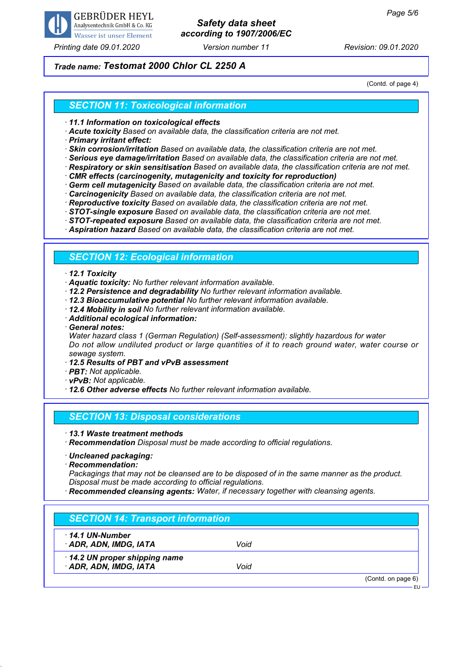

### *Printing date 09.01.2020 Version number 11 Revision: 09.01.2020*

# *Safety data sheet according to 1907/2006/EC*

### *Trade name: Testomat 2000 Chlor CL 2250 A*

(Contd. of page 4)

### *SECTION 11: Toxicological information*

*· 11.1 Information on toxicological effects*

*· Acute toxicity Based on available data, the classification criteria are not met.*

*· Primary irritant effect:*

*· Skin corrosion/irritation Based on available data, the classification criteria are not met.*

- *· Serious eye damage/irritation Based on available data, the classification criteria are not met.*
- *· Respiratory or skin sensitisation Based on available data, the classification criteria are not met.*
- *· CMR effects (carcinogenity, mutagenicity and toxicity for reproduction)*
- *· Germ cell mutagenicity Based on available data, the classification criteria are not met.*
- *· Carcinogenicity Based on available data, the classification criteria are not met.*
- *· Reproductive toxicity Based on available data, the classification criteria are not met.*
- *· STOT-single exposure Based on available data, the classification criteria are not met.*
- *· STOT-repeated exposure Based on available data, the classification criteria are not met.*

*· Aspiration hazard Based on available data, the classification criteria are not met.*

### *SECTION 12: Ecological information*

#### *· 12.1 Toxicity*

- *· Aquatic toxicity: No further relevant information available.*
- *· 12.2 Persistence and degradability No further relevant information available.*
- *· 12.3 Bioaccumulative potential No further relevant information available.*
- *· 12.4 Mobility in soil No further relevant information available.*
- *· Additional ecological information:*
- *· General notes:*

*Water hazard class 1 (German Regulation) (Self-assessment): slightly hazardous for water Do not allow undiluted product or large quantities of it to reach ground water, water course or sewage system.*

- *· 12.5 Results of PBT and vPvB assessment*
- *· PBT: Not applicable.*
- *· vPvB: Not applicable.*

*· 12.6 Other adverse effects No further relevant information available.*

#### *SECTION 13: Disposal considerations*

*· 13.1 Waste treatment methods*

*· Recommendation Disposal must be made according to official regulations.*

- *· Uncleaned packaging:*
- *· Recommendation:*

*Packagings that may not be cleansed are to be disposed of in the same manner as the product. Disposal must be made according to official regulations.*

*· Recommended cleansing agents: Water, if necessary together with cleansing agents.*

### *SECTION 14: Transport information*

*· 14.1 UN-Number*

*· ADR, ADN, IMDG, IATA Void*

*· 14.2 UN proper shipping name*

*· ADR, ADN, IMDG, IATA Void*

(Contd. on page 6)

EU